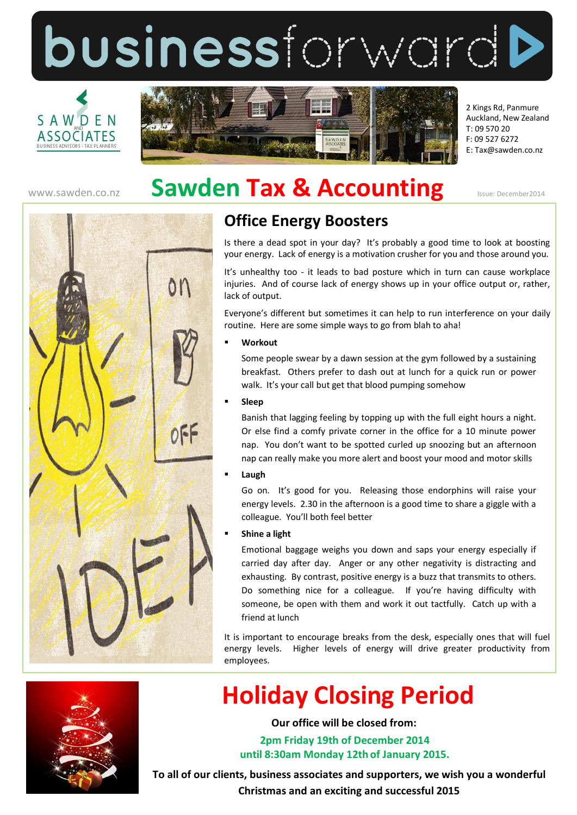businessforwardD





2 Kings Rd, Panmure Auckland, New Zealand T: 09 570 20 F: 09 527 6272 E: Tax@sawden.co.nz

## WWW.Sawden.co.nz **Sawden Tax & Accounting** Issue: December2014



### **Office Energy Boosters**

Is there a dead spot in your day? It's probably a good time to look at boosting your energy. Lack of energy is a motivation crusher for you and those around you.

It's unhealthy too - it leads to bad posture which in turn can cause workplace injuries. And of course lack of energy shows up in your office output or, rather, lack of output.

Everyone's different but sometimes it can help to run interference on your daily routine. Here are some simple ways to go from blah to aha!

#### **Workout**

Some people swear by a dawn session at the gym followed by a sustaining breakfast. Others prefer to dash out at lunch for a quick run or power walk. It's your call but get that blood pumping somehow

**Sleep** 

Banish that lagging feeling by topping up with the full eight hours a night. Or else find a comfy private corner in the office for a 10 minute power nap. You don't want to be spotted curled up snoozing but an afternoon nap can really make you more alert and boost your mood and motor skills

**Laugh**

Go on. It's good for you. Releasing those endorphins will raise your energy levels. 2.30 in the afternoon is a good time to share a giggle with a colleague. You'll both feel better

### **Shine a light**

Emotional baggage weighs you down and saps your energy especially if carried day after day. Anger or any other negativity is distracting and exhausting. By contrast, positive energy is a buzz that transmits to others. Do something nice for a colleague. If you're having difficulty with someone, be open with them and work it out tactfully. Catch up with a friend at lunch

It is important to encourage breaks from the desk, especially ones that will fuel energy levels. Higher levels of energy will drive greater productivity from employees.



# **Holiday Closing Period**

**Our office will be closed from:**

**2pm Friday 19th of December 2014 until 8:30am Monday 12th of January 2015.**

**To all of our clients, business associates and supporters, we wish you a wonderful Christmas and an exciting and successful 2015**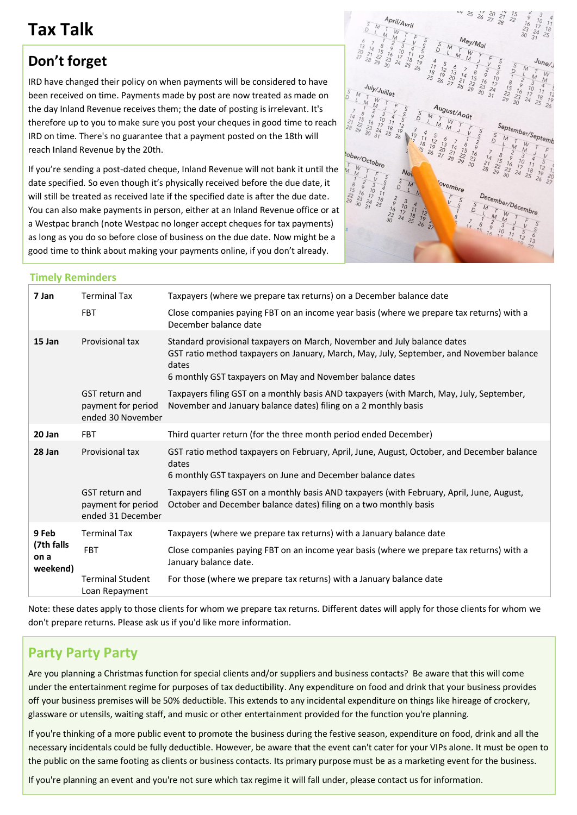### **Tax Talk**

### **Don't forget**

IRD have changed their policy on when payments will be considered to have been received on time. Payments made by post are now treated as made on the day Inland Revenue receives them; the date of posting is irrelevant. It's therefore up to you to make sure you post your cheques in good time to reach IRD on time. There's no guarantee that a payment posted on the 18th will reach Inland Revenue by the 20th.

If you're sending a post-dated cheque, Inland Revenue will not bank it until the date specified. So even though it's physically received before the due date, it will still be treated as received late if the specified date is after the due date. You can also make payments in person, either at an Inland Revenue office or at a Westpac branch (note Westpac no longer accept cheques for tax payments) as long as you do so before close of business on the due date. Now might be a good time to think about making your payments online, if you don't already.



### **Timely Reminders**

| 7 Jan                                   | <b>Terminal Tax</b>                                              | Taxpayers (where we prepare tax returns) on a December balance date                                                                                                                                                                        |
|-----------------------------------------|------------------------------------------------------------------|--------------------------------------------------------------------------------------------------------------------------------------------------------------------------------------------------------------------------------------------|
|                                         | <b>FBT</b>                                                       | Close companies paying FBT on an income year basis (where we prepare tax returns) with a<br>December balance date                                                                                                                          |
| 15 Jan                                  | Provisional tax                                                  | Standard provisional taxpayers on March, November and July balance dates<br>GST ratio method taxpayers on January, March, May, July, September, and November balance<br>dates<br>6 monthly GST taxpayers on May and November balance dates |
|                                         | <b>GST</b> return and<br>payment for period<br>ended 30 November | Taxpayers filing GST on a monthly basis AND taxpayers (with March, May, July, September,<br>November and January balance dates) filing on a 2 monthly basis                                                                                |
| 20 Jan                                  | <b>FBT</b>                                                       | Third quarter return (for the three month period ended December)                                                                                                                                                                           |
| 28 Jan                                  | Provisional tax                                                  | GST ratio method taxpayers on February, April, June, August, October, and December balance<br>dates<br>6 monthly GST taxpayers on June and December balance dates                                                                          |
|                                         | <b>GST</b> return and<br>payment for period<br>ended 31 December | Taxpayers filing GST on a monthly basis AND taxpayers (with February, April, June, August,<br>October and December balance dates) filing on a two monthly basis                                                                            |
| 9 Feb<br>(7th falls<br>on a<br>weekend) | <b>Terminal Tax</b>                                              | Taxpayers (where we prepare tax returns) with a January balance date                                                                                                                                                                       |
|                                         | <b>FBT</b>                                                       | Close companies paying FBT on an income year basis (where we prepare tax returns) with a<br>January balance date.                                                                                                                          |
|                                         | <b>Terminal Student</b><br>Loan Repayment                        | For those (where we prepare tax returns) with a January balance date                                                                                                                                                                       |

Note: these dates apply to those clients for whom we prepare tax returns. Different dates will apply for those clients for whom we don't prepare returns. Please ask us if you'd like more information.

### **Party Party Party**

Are you planning a Christmas function for special clients and/or suppliers and business contacts? Be aware that this will come under the entertainment regime for purposes of tax deductibility. Any expenditure on food and drink that your business provides off your business premises will be 50% deductible. This extends to any incidental expenditure on things like hireage of crockery, glassware or utensils, waiting staff, and music or other entertainment provided for the function you're planning.

If you're thinking of a more public event to promote the business during the festive season, expenditure on food, drink and all the necessary incidentals could be fully deductible. However, be aware that the event can't cater for your VIPs alone. It must be open to the public on the same footing as clients or business contacts. Its primary purpose must be as a marketing event for the business.

If you're planning an event and you're not sure which tax regime it will fall under, please contact us for information.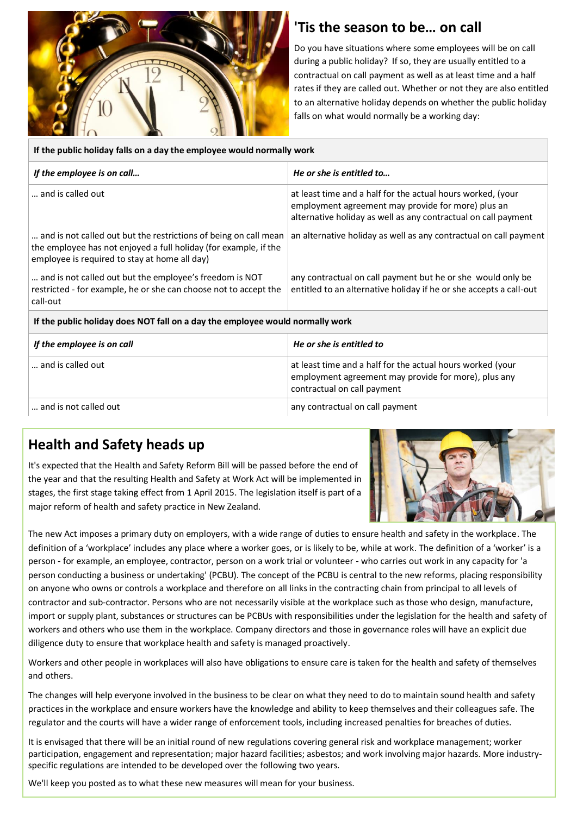

### **'Tis the season to be… on call**

Do you have situations where some employees will be on call during a public holiday? If so, they are usually entitled to a contractual on call payment as well as at least time and a half rates if they are called out. Whether or not they are also entitled to an alternative holiday depends on whether the public holiday falls on what would normally be a working day:

| If the public holiday falls on a day the employee would normally work                                                                                                                 |                                                                                                                                                                                     |  |  |  |
|---------------------------------------------------------------------------------------------------------------------------------------------------------------------------------------|-------------------------------------------------------------------------------------------------------------------------------------------------------------------------------------|--|--|--|
| If the employee is on call                                                                                                                                                            | He or she is entitled to                                                                                                                                                            |  |  |  |
| and is called out                                                                                                                                                                     | at least time and a half for the actual hours worked, (your<br>employment agreement may provide for more) plus an<br>alternative holiday as well as any contractual on call payment |  |  |  |
| and is not called out but the restrictions of being on call mean<br>the employee has not enjoyed a full holiday (for example, if the<br>employee is required to stay at home all day) | an alternative holiday as well as any contractual on call payment                                                                                                                   |  |  |  |
| and is not called out but the employee's freedom is NOT<br>restricted - for example, he or she can choose not to accept the<br>call-out                                               | any contractual on call payment but he or she would only be<br>entitled to an alternative holiday if he or she accepts a call-out                                                   |  |  |  |
| If the public holiday does NOT fall on a day the employee would normally work                                                                                                         |                                                                                                                                                                                     |  |  |  |
| If the employee is on call                                                                                                                                                            | He or she is entitled to                                                                                                                                                            |  |  |  |
| and is called out                                                                                                                                                                     | at least time and a half for the actual hours worked (your<br>employment agreement may provide for more), plus any<br>contractual on call payment                                   |  |  |  |
| and is not called out                                                                                                                                                                 | any contractual on call payment                                                                                                                                                     |  |  |  |

### **Health and Safety heads up**

It's expected that the Health and Safety Reform Bill will be passed before the end of the year and that the resulting Health and Safety at Work Act will be implemented in stages, the first stage taking effect from 1 April 2015. The legislation itself is part of a major reform of health and safety practice in New Zealand.



The new Act imposes a primary duty on employers, with a wide range of duties to ensure health and safety in the workplace. The definition of a 'workplace' includes any place where a worker goes, or is likely to be, while at work. The definition of a 'worker' is a person - for example, an employee, contractor, person on a work trial or volunteer - who carries out work in any capacity for 'a person conducting a business or undertaking' (PCBU). The concept of the PCBU is central to the new reforms, placing responsibility on anyone who owns or controls a workplace and therefore on all links in the contracting chain from principal to all levels of contractor and sub-contractor. Persons who are not necessarily visible at the workplace such as those who design, manufacture, import or supply plant, substances or structures can be PCBUs with responsibilities under the legislation for the health and safety of workers and others who use them in the workplace. Company directors and those in governance roles will have an explicit due diligence duty to ensure that workplace health and safety is managed proactively.

Workers and other people in workplaces will also have obligations to ensure care is taken for the health and safety of themselves and others.

The changes will help everyone involved in the business to be clear on what they need to do to maintain sound health and safety practices in the workplace and ensure workers have the knowledge and ability to keep themselves and their colleagues safe. The regulator and the courts will have a wider range of enforcement tools, including increased penalties for breaches of duties.

It is envisaged that there will be an initial round of new regulations covering general risk and workplace management; worker participation, engagement and representation; major hazard facilities; asbestos; and work involving major hazards. More industryspecific regulations are intended to be developed over the following two years.

We'll keep you posted as to what these new measures will mean for your business.